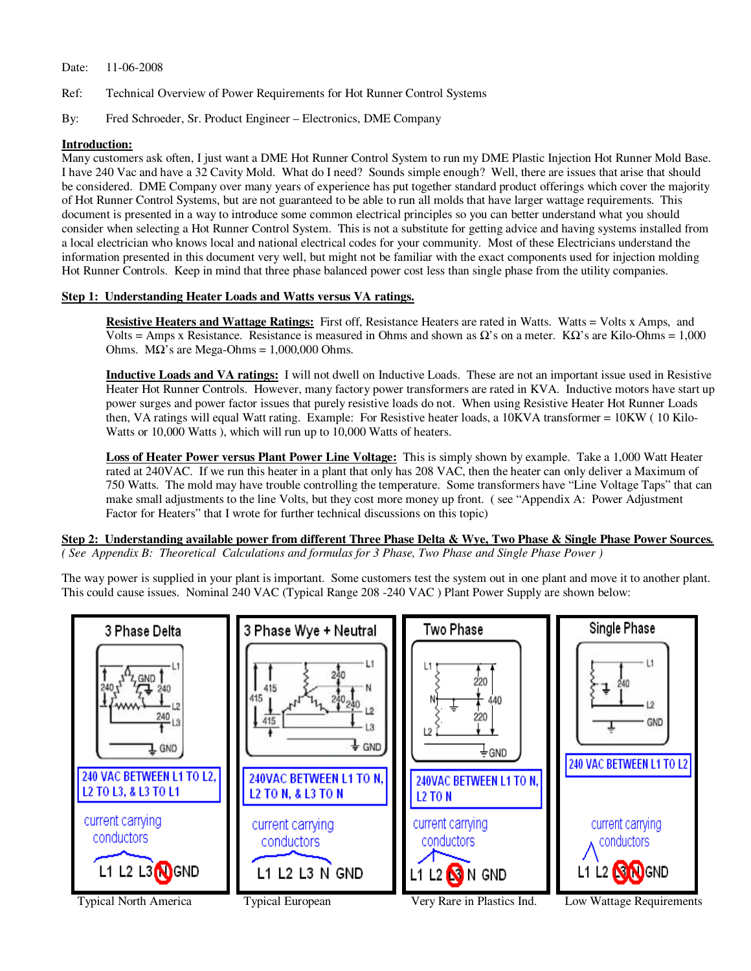## Date: 11-06-2008

- Ref: Technical Overview of Power Requirements for Hot Runner Control Systems
- By: Fred Schroeder, Sr. Product Engineer Electronics, DME Company

## **Introduction:**

Many customers ask often, I just want a DME Hot Runner Control System to run my DME Plastic Injection Hot Runner Mold Base. I have 240 Vac and have a 32 Cavity Mold. What do I need? Sounds simple enough? Well, there are issues that arise that should be considered. DME Company over many years of experience has put together standard product offerings which cover the majority of Hot Runner Control Systems, but are not guaranteed to be able to run all molds that have larger wattage requirements. This document is presented in a way to introduce some common electrical principles so you can better understand what you should consider when selecting a Hot Runner Control System. This is not a substitute for getting advice and having systems installed from a local electrician who knows local and national electrical codes for your community. Most of these Electricians understand the information presented in this document very well, but might not be familiar with the exact components used for injection molding Hot Runner Controls. Keep in mind that three phase balanced power cost less than single phase from the utility companies.

## **Step 1: Understanding Heater Loads and Watts versus VA ratings.**

**Resistive Heaters and Wattage Ratings:** First off, Resistance Heaters are rated in Watts. Watts = Volts x Amps, and Volts = Amps x Resistance. Resistance is measured in Ohms and shown as  $\Omega$ 's on a meter. K $\Omega$ 's are Kilo-Ohms = 1,000 Ohms.  $MΩ's are Mega-Ohms = 1,000,000 Ohms.$ 

**Inductive Loads and VA ratings:** I will not dwell on Inductive Loads. These are not an important issue used in Resistive Heater Hot Runner Controls. However, many factory power transformers are rated in KVA. Inductive motors have start up power surges and power factor issues that purely resistive loads do not. When using Resistive Heater Hot Runner Loads then, VA ratings will equal Watt rating. Example: For Resistive heater loads, a 10KVA transformer = 10KW ( 10 Kilo-Watts or 10,000 Watts ), which will run up to 10,000 Watts of heaters.

**Loss of Heater Power versus Plant Power Line Voltage:** This is simply shown by example. Take a 1,000 Watt Heater rated at 240VAC. If we run this heater in a plant that only has 208 VAC, then the heater can only deliver a Maximum of 750 Watts. The mold may have trouble controlling the temperature. Some transformers have "Line Voltage Taps" that can make small adjustments to the line Volts, but they cost more money up front. ( see "Appendix A: Power Adjustment Factor for Heaters" that I wrote for further technical discussions on this topic)

## **Step 2: Understanding available power from different Three Phase Delta & Wye, Two Phase & Single Phase Power Sources***. ( See Appendix B: Theoretical Calculations and formulas for 3 Phase, Two Phase and Single Phase Power )*

The way power is supplied in your plant is important. Some customers test the system out in one plant and move it to another plant. This could cause issues. Nominal 240 VAC (Typical Range 208 -240 VAC ) Plant Power Supply are shown below:

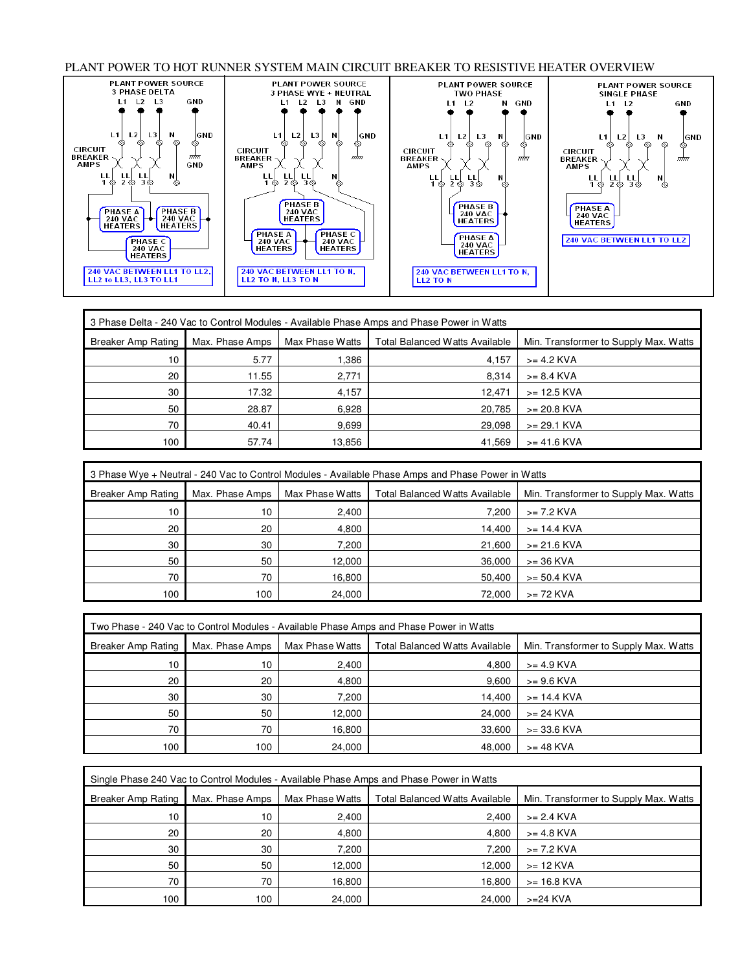PLANT POWER TO HOT RUNNER SYSTEM MAIN CIRCUIT BREAKER TO RESISTIVE HEATER OVERVIEW



|                    | 3 Phase Delta - 240 Vac to Control Modules - Available Phase Amps and Phase Power in Watts |                 |                                       |                                       |  |
|--------------------|--------------------------------------------------------------------------------------------|-----------------|---------------------------------------|---------------------------------------|--|
| Breaker Amp Rating | Max. Phase Amps                                                                            | Max Phase Watts | <b>Total Balanced Watts Available</b> | Min. Transformer to Supply Max. Watts |  |
| 10 <sup>°</sup>    | 5.77                                                                                       | 386. ا          | 4.157                                 | $>= 4.2$ KVA                          |  |
| 20                 | 11.55                                                                                      | 2,771           | 8.314                                 | $>= 8.4$ KVA                          |  |
| 30                 | 17.32                                                                                      | 4,157           | 12,471                                | $>= 12.5$ KVA                         |  |
| 50                 | 28.87                                                                                      | 6,928           | 20,785                                | $>= 20.8$ KVA                         |  |
| 70                 | 40.41                                                                                      | 9,699           | 29,098                                | $>= 29.1$ KVA                         |  |
| 100                | 57.74                                                                                      | 13,856          | 41,569                                | $>= 41.6$ KVA                         |  |

|                    | 3 Phase Wye + Neutral - 240 Vac to Control Modules - Available Phase Amps and Phase Power in Watts |                 |                                       |                                       |
|--------------------|----------------------------------------------------------------------------------------------------|-----------------|---------------------------------------|---------------------------------------|
| Breaker Amp Rating | Max. Phase Amps                                                                                    | Max Phase Watts | <b>Total Balanced Watts Available</b> | Min. Transformer to Supply Max. Watts |
| 10                 | 10                                                                                                 | 2,400           | 7.200                                 | >= 7.2 KVA                            |
| 20                 | 20                                                                                                 | 4,800           | 14.400                                | >= 14.4 KVA                           |
| 30                 | 30                                                                                                 | 7,200           | 21.600                                | $>= 21.6$ KVA                         |
| 50                 | 50                                                                                                 | 12,000          | 36.000                                | $>=$ 36 KVA                           |
| 70                 | 70                                                                                                 | 16,800          | 50.400                                | $>= 50.4$ KVA                         |
| 100                | 100                                                                                                | 24,000          | 72.000                                | $>= 72$ KVA                           |

|                    | Two Phase - 240 Vac to Control Modules - Available Phase Amps and Phase Power in Watts |                 |                                       |                                       |  |
|--------------------|----------------------------------------------------------------------------------------|-----------------|---------------------------------------|---------------------------------------|--|
| Breaker Amp Rating | Max. Phase Amps                                                                        | Max Phase Watts | <b>Total Balanced Watts Available</b> | Min. Transformer to Supply Max. Watts |  |
| 10                 | 10                                                                                     | 2,400           | 4.800                                 | $>= 4.9$ KVA                          |  |
| 20                 | 20                                                                                     | 4,800           | 9.600                                 | $>= 9.6$ KVA                          |  |
| 30                 | 30                                                                                     | 7,200           | 14,400                                | $>= 14.4$ KVA                         |  |
| 50                 | 50                                                                                     | 12,000          | 24,000                                | $>= 24$ KVA                           |  |
| 70                 | 70                                                                                     | 16,800          | 33,600                                | $>= 33.6$ KVA                         |  |
| 100                | 100                                                                                    | 24,000          | 48.000                                | $>=$ 48 KVA                           |  |

|                    | Single Phase 240 Vac to Control Modules - Available Phase Amps and Phase Power in Watts |                 |                                       |                                       |  |
|--------------------|-----------------------------------------------------------------------------------------|-----------------|---------------------------------------|---------------------------------------|--|
| Breaker Amp Rating | Max. Phase Amps                                                                         | Max Phase Watts | <b>Total Balanced Watts Available</b> | Min. Transformer to Supply Max. Watts |  |
| 10 <sup>°</sup>    | 10                                                                                      | 2,400           | 2,400                                 | $>= 2.4$ KVA                          |  |
| 20                 | 20                                                                                      | 4,800           | 4.800                                 | $>= 4.8$ KVA                          |  |
| 30                 | 30                                                                                      | 7.200           | 7.200                                 | >= 7.2 KVA                            |  |
| 50                 | 50                                                                                      | 12,000          | 12.000                                | $>= 12$ KVA                           |  |
| 70                 | 70                                                                                      | 16,800          | 16,800                                | $>= 16.8$ KVA                         |  |
| 100                | 100                                                                                     | 24,000          | 24.000                                | $>=24$ KVA                            |  |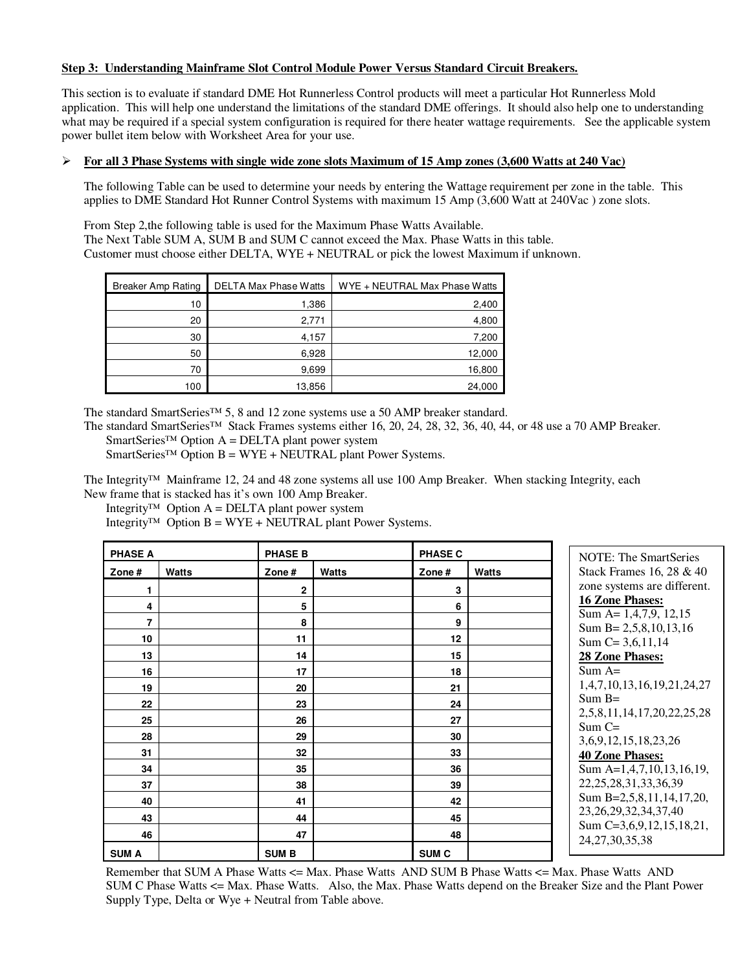## **Step 3: Understanding Mainframe Slot Control Module Power Versus Standard Circuit Breakers.**

This section is to evaluate if standard DME Hot Runnerless Control products will meet a particular Hot Runnerless Mold application. This will help one understand the limitations of the standard DME offerings. It should also help one to understanding what may be required if a special system configuration is required for there heater wattage requirements. See the applicable system power bullet item below with Worksheet Area for your use.

## **For all 3 Phase Systems with single wide zone slots Maximum of 15 Amp zones (3,600 Watts at 240 Vac)**

The following Table can be used to determine your needs by entering the Wattage requirement per zone in the table. This applies to DME Standard Hot Runner Control Systems with maximum 15 Amp (3,600 Watt at 240Vac ) zone slots.

From Step 2,the following table is used for the Maximum Phase Watts Available. The Next Table SUM A, SUM B and SUM C cannot exceed the Max. Phase Watts in this table. Customer must choose either DELTA, WYE + NEUTRAL or pick the lowest Maximum if unknown.

| <b>Breaker Amp Rating</b> | <b>DELTA Max Phase Watts</b> | WYE + NEUTRAL Max Phase Watts |
|---------------------------|------------------------------|-------------------------------|
| 10                        | 1,386                        | 2,400                         |
| 20                        | 2,771                        | 4,800                         |
| 30                        | 4,157                        | 7,200                         |
| 50                        | 6,928                        | 12,000                        |
| 70                        | 9,699                        | 16,800                        |
| 100                       | 13,856                       | 24,000                        |

The standard SmartSeries™ 5, 8 and 12 zone systems use a 50 AMP breaker standard.

The standard SmartSeries™ Stack Frames systems either 16, 20, 24, 28, 32, 36, 40, 44, or 48 use a 70 AMP Breaker.

SmartSeries™ Option  $A = DELTA$  plant power system  $S$ martSeries<sup>™</sup> Option B = WYE + NEUTRAL plant Power Systems.

The Integrity™ Mainframe 12, 24 and 48 zone systems all use 100 Amp Breaker. When stacking Integrity, each New frame that is stacked has it's own 100 Amp Breaker.

Integrity<sup>™</sup> Option A = DELTA plant power system

Integrity<sup>™</sup> Option B = WYE + NEUTRAL plant Power Systems.

| <b>PHASE A</b> |              | <b>PHASE B</b> |              | <b>PHASE C</b>   |              | <b>NOTE: The SmartSeries</b>                        |
|----------------|--------------|----------------|--------------|------------------|--------------|-----------------------------------------------------|
| Zone $#$       | <b>Watts</b> | Zone $#$       | <b>Watts</b> | Zone $#$         | <b>Watts</b> | Stack Frames 16, 28 & 40                            |
|                |              | 2              |              | 3                |              | zone systems are different.                         |
| 4              |              | 5              |              | 6                |              | <b>16 Zone Phases:</b>                              |
| $\overline{7}$ |              | 8              |              | 9                |              | Sum A= $1,4,7,9, 12,15$<br>Sum B = $2,5,8,10,13,16$ |
| 10             |              | 11             |              | 12               |              | Sum $C = 3,6,11,14$                                 |
| 13             |              | 14             |              | 15               |              | 28 Zone Phases:                                     |
| 16             |              | 17             |              | 18               |              | $Sum A =$                                           |
| 19             |              | 20             |              | 21               |              | 1,4,7,10,13,16,19,21,24,27                          |
| 22             |              | 23             |              | 24               |              | $Sum B =$                                           |
| 25             |              | 26             |              | 27               |              | 2,5,8,11,14,17,20,22,25,28                          |
| 28             |              | 29             |              | 30               |              | $Sum C =$<br>3, 6, 9, 12, 15, 18, 23, 26            |
| 31             |              | 32             |              | 33               |              | <b>40 Zone Phases:</b>                              |
| 34             |              | 35             |              | 36               |              | Sum A=1,4,7,10,13,16,19,                            |
| 37             |              | 38             |              | 39               |              | 22, 25, 28, 31, 33, 36, 39                          |
| 40             |              | 41             |              | 42               |              | Sum B=2,5,8,11,14,17,20,                            |
| 43             |              | 44             |              | 45               |              | 23, 26, 29, 32, 34, 37, 40                          |
| 46             |              | 47             |              | 48               |              | Sum C=3,6,9,12,15,18,21,<br>24, 27, 30, 35, 38      |
| <b>SUM A</b>   |              | <b>SUMB</b>    |              | SUM <sub>C</sub> |              |                                                     |

Remember that SUM A Phase Watts <= Max. Phase Watts AND SUM B Phase Watts <= Max. Phase Watts AND SUM C Phase Watts <= Max. Phase Watts. Also, the Max. Phase Watts depend on the Breaker Size and the Plant Power Supply Type, Delta or Wye + Neutral from Table above.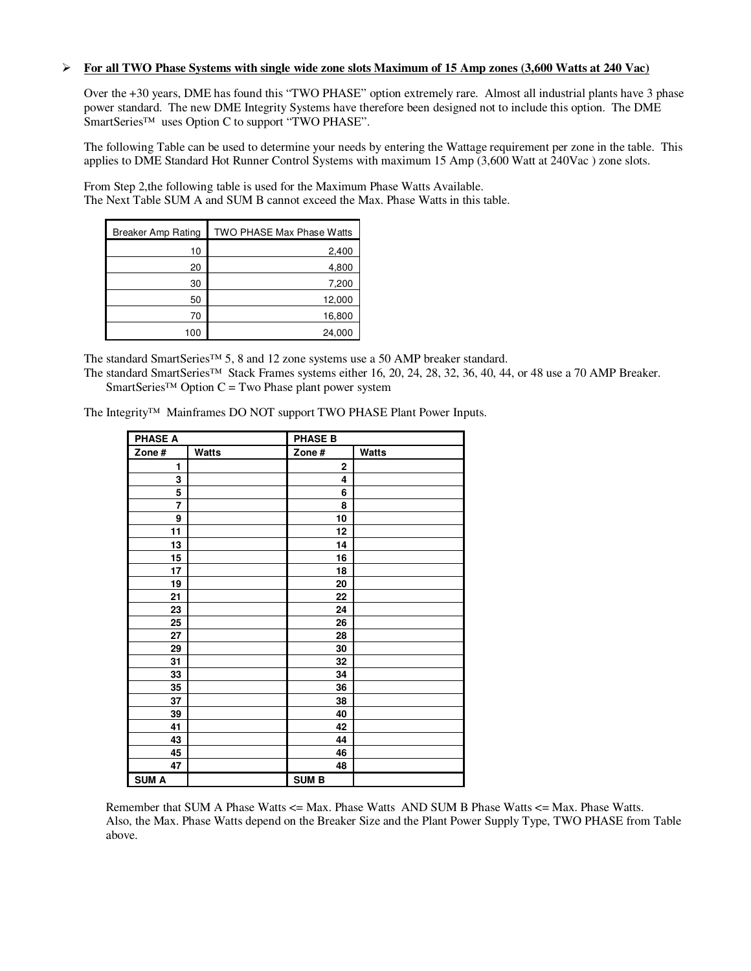### **For all TWO Phase Systems with single wide zone slots Maximum of 15 Amp zones (3,600 Watts at 240 Vac)**

Over the +30 years, DME has found this "TWO PHASE" option extremely rare. Almost all industrial plants have 3 phase power standard. The new DME Integrity Systems have therefore been designed not to include this option. The DME SmartSeries™ uses Option C to support "TWO PHASE".

The following Table can be used to determine your needs by entering the Wattage requirement per zone in the table. This applies to DME Standard Hot Runner Control Systems with maximum 15 Amp (3,600 Watt at 240Vac ) zone slots.

From Step 2,the following table is used for the Maximum Phase Watts Available. The Next Table SUM A and SUM B cannot exceed the Max. Phase Watts in this table.

| <b>Breaker Amp Rating</b> | TWO PHASE Max Phase Watts |
|---------------------------|---------------------------|
| 10                        | 2,400                     |
| 20                        | 4,800                     |
| 30                        | 7,200                     |
| 50                        | 12,000                    |
| 70                        | 16,800                    |
| 100                       | 24,000                    |

The standard SmartSeries™ 5, 8 and 12 zone systems use a 50 AMP breaker standard.

The standard SmartSeries™ Stack Frames systems either 16, 20, 24, 28, 32, 36, 40, 44, or 48 use a 70 AMP Breaker. SmartSeries<sup>™</sup> Option C = Two Phase plant power system

The Integrity™ Mainframes DO NOT support TWO PHASE Plant Power Inputs.

| <b>PHASE A</b> |       | <b>PHASE B</b> |       |
|----------------|-------|----------------|-------|
| Zone#          | Watts | Zone#          | Watts |
| 1              |       | 2              |       |
| 3              |       | 4              |       |
| 5              |       | 6              |       |
| 7              |       | 8              |       |
| 9              |       | 10             |       |
| 11             |       | 12             |       |
| 13             |       | 14             |       |
| 15             |       | 16             |       |
| 17             |       | 18             |       |
| 19             |       | 20             |       |
| 21             |       | 22             |       |
| 23             |       | 24             |       |
| 25             |       | 26             |       |
| 27             |       | 28             |       |
| 29             |       | 30             |       |
| 31             |       | 32             |       |
| 33             |       | 34             |       |
| 35             |       | 36             |       |
| 37             |       | 38             |       |
| 39             |       | 40             |       |
| 41             |       | 42             |       |
| 43             |       | 44             |       |
| 45             |       | 46             |       |
| 47             |       | 48             |       |
| <b>SUM A</b>   |       | <b>SUM B</b>   |       |

Remember that SUM A Phase Watts <= Max. Phase Watts AND SUM B Phase Watts <= Max. Phase Watts. Also, the Max. Phase Watts depend on the Breaker Size and the Plant Power Supply Type, TWO PHASE from Table above.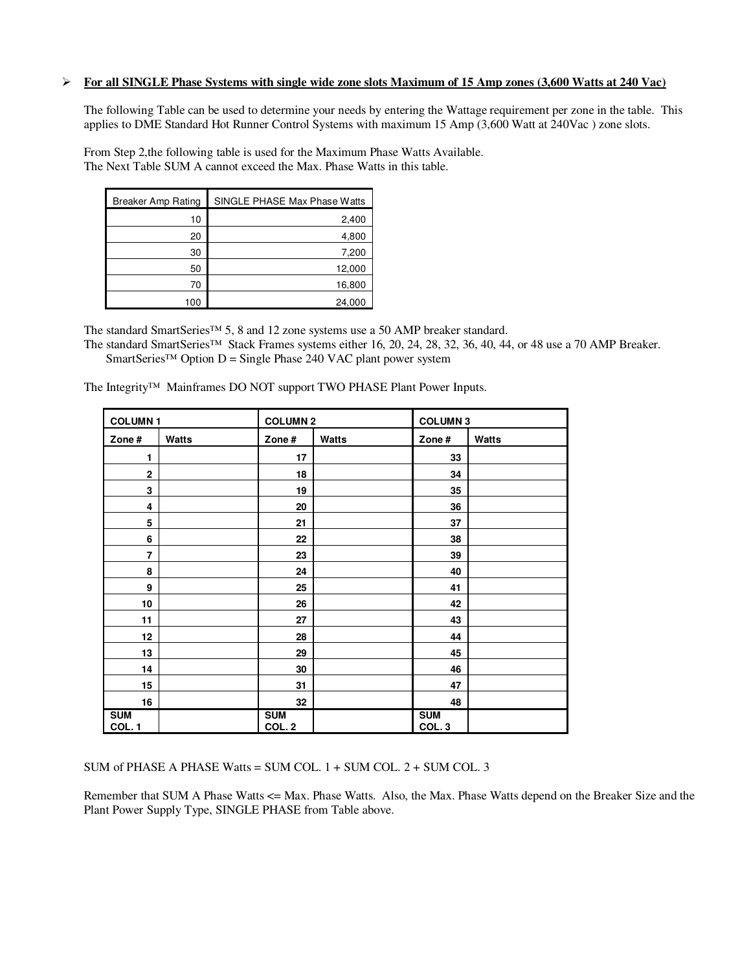#### **For all SINGLE Phase Systems with single wide zone slots Maximum of 15 Amp zones (3,600 Watts at 240 Vac)**

The following Table can be used to determine your needs by entering the Wattage requirement per zone in the table. This applies to DME Standard Hot Runner Control Systems with maximum 15 Amp (3,600 Watt at 240Vac ) zone slots.

From Step 2,the following table is used for the Maximum Phase Watts Available. The Next Table SUM A cannot exceed the Max. Phase Watts in this table.

| <b>Breaker Amp Rating</b> | SINGLE PHASE Max Phase Watts |
|---------------------------|------------------------------|
| 10                        | 2,400                        |
| 20                        | 4,800                        |
| 30                        | 7,200                        |
| 50                        | 12,000                       |
| 70                        | 16,800                       |
| 100                       | 24,000                       |

The standard SmartSeries™ 5, 8 and 12 zone systems use a 50 AMP breaker standard.

The standard SmartSeries™ Stack Frames systems either 16, 20, 24, 28, 32, 36, 40, 44, or 48 use a 70 AMP Breaker. SmartSeries<sup>™</sup> Option D = Single Phase 240 VAC plant power system

**COLUMN 1 COLUMN 2 COLUMN 3 Zone # Watts Zone # Watts Zone # Watts**  1 **17** 17 **17** 17 **1** 33 **2 18 18 18 18 18 18** 3 **1** 35 **4 20 36 5 1** 21 **1** 37 **6 1 22 1 38** 7 **23 1 23 1 39 8 1 24 1 40 9 1 25 1 41** 10 **10 126 126 127 127 127 128 12 11 27 43 12 28 44**  13 **13 29 12:00 12:00 12:00 12:00 12:00 12:00 12:00 12:00 12:00 12:00 12:00 12:00 12:00 12:00 12:00 12:00 12:0 14 30 46 15 31 47 16 32 48 SUM COL. 1 SUM COL. 2 SUM COL. 3** 

The Integrity™ Mainframes DO NOT support TWO PHASE Plant Power Inputs.

SUM of PHASE A PHASE Watts = SUM COL. 1 + SUM COL. 2 + SUM COL. 3

Remember that SUM A Phase Watts <= Max. Phase Watts. Also, the Max. Phase Watts depend on the Breaker Size and the Plant Power Supply Type, SINGLE PHASE from Table above.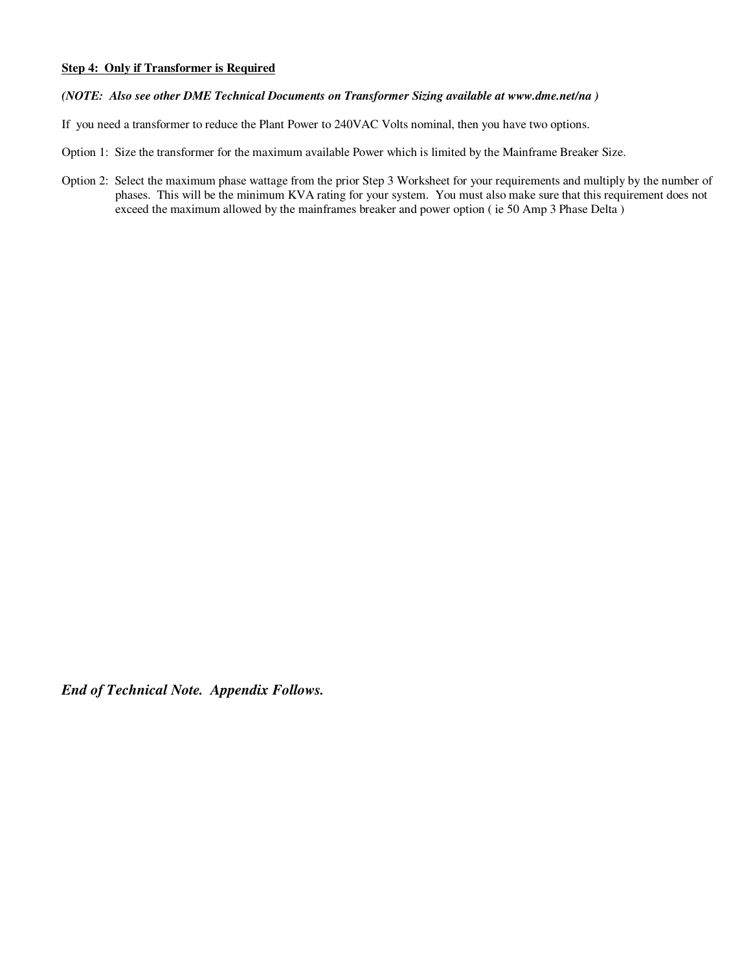## **Step 4: Only if Transformer is Required**

## *(NOTE: Also see other DME Technical Documents on Transformer Sizing available at www.dme.net/na )*

If you need a transformer to reduce the Plant Power to 240VAC Volts nominal, then you have two options.

Option 1: Size the transformer for the maximum available Power which is limited by the Mainframe Breaker Size.

Option 2: Select the maximum phase wattage from the prior Step 3 Worksheet for your requirements and multiply by the number of phases. This will be the minimum KVA rating for your system. You must also make sure that this requirement does not exceed the maximum allowed by the mainframes breaker and power option ( ie 50 Amp 3 Phase Delta )

*End of Technical Note. Appendix Follows.*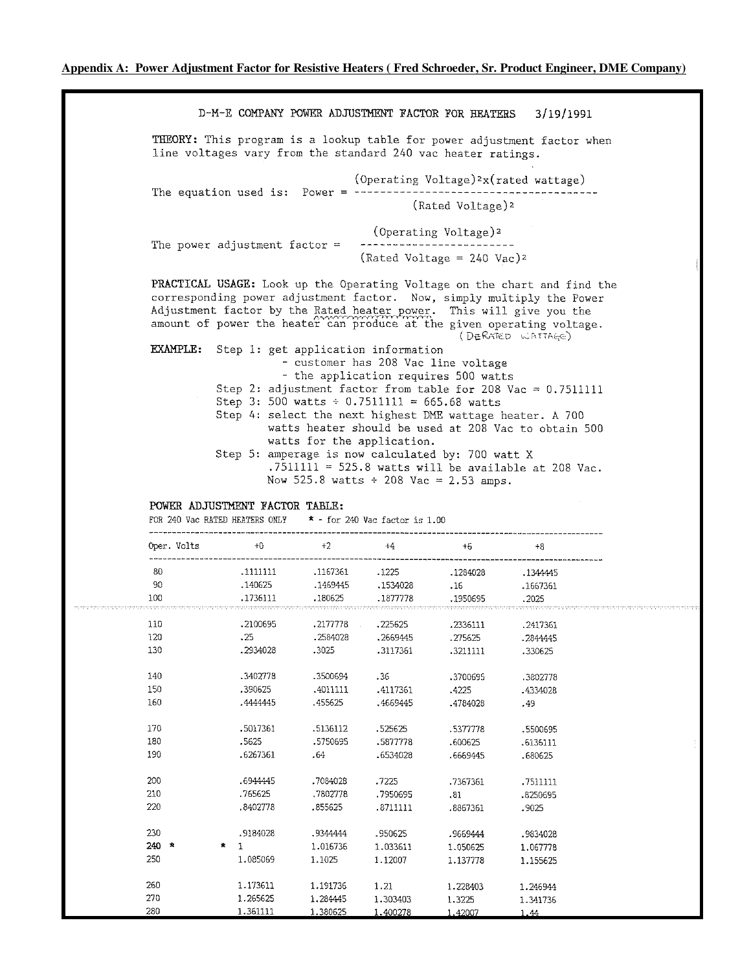D-M-E COMPANY POWER ADJUSTMENT FACTOR FOR HEATERS 3/19/1991 THEORY: This program is a lookup table for power adjustment factor when line voltages vary from the standard 240 vac heater ratings. (Operating Voltage)<sup>2</sup>x(rated wattage) (Rated Voltage)<sup>2</sup> (Operating Voltage)<sup>2</sup> -------------------------The power adjustment factor  $=$ (Rated Voltage =  $240$  Vac)<sup>2</sup> PRACTICAL USAGE: Look up the Operating Voltage on the chart and find the corresponding power adjustment factor. Now, simply multiply the Power Adjustment factor by the Rated heater power. This will give you the amount of power the heater can produce at the given operating voltage. (DERATED WATTAGE) EXAMPLE: Step 1: get application information - customer has 208 Vac line voltage - the application requires 500 watts Step 2: adjustment factor from table for 208 Vac =  $0.7511111$ Step 3: 500 watts  $\div$  0.7511111 = 665.68 watts Step 4: select the next highest DME wattage heater. A 700 watts heater should be used at 208 Vac to obtain 500 watts for the application. Step 5: amperage is now calculated by: 700 watt X  $.7511111 = 525.8$  watts will be available at 208 Vac. Now 525.8 watts  $\div$  208 Vac = 2.53 amps.

#### POWER ADJUSTMENT FACTOR TABLE:

FOR 240 Vac RATED HEATERS ONLY  $* -$  for 240 Vac factor is 1.00

| Oper. Volts | $+0$              | $+2$     | $+4$                      | $+6$     | $+8$     |  |
|-------------|-------------------|----------|---------------------------|----------|----------|--|
| 80          | .1111111          | .1167361 | .1225                     | .1284028 | .1344445 |  |
| 90          | .140625           | .1469445 | .1534028                  | .16      | .1667361 |  |
| 100         | .1736111          | .180625  | .1877778                  | .1950695 | .2025    |  |
| 110         | .2100695          | .2177778 | .225625<br>$\mathbb{R}^2$ | .2336111 | .2417361 |  |
| 120         | .25               | .2584028 | .2669445                  | .275625  | .2844445 |  |
| 130         | .2934028          | .3025    | .3117361                  | .3211111 | .330625  |  |
| 140         | .3402778          | .3500694 | .36                       | .3700695 | .3802778 |  |
| 150         | .390625           | .4011111 | .4117361                  | .4225    | .4334028 |  |
| 160         | .4444445          | .455625  | .4669445                  | .4784028 | .49      |  |
| 170         | .5017361          | .5136112 | .525625                   | .5377778 | .5500695 |  |
| 180         | .5625             | .5750695 | .5877778                  | .600625  | .6136111 |  |
| 190         | .6267361          | .64      | .6534028                  | .6669445 | .680625  |  |
| 200         | .6944445          | .7084028 | .7225                     | .7367361 | .7511111 |  |
| 210         | .765625           | .7802778 | .7950695                  | .81      | .8250695 |  |
| 220         | .8402778          | .855625  | .8711111                  | .8867361 | .9025    |  |
| 230         | .9184028          | .9344444 | .950625                   | .9669444 | .9834028 |  |
| $240 *$     | 倉<br>$\mathbf{1}$ | 1.016736 | 1.033611                  | 1.050625 | 1,067778 |  |
| 250         | 1.085069          | 1.1025   | 1.12007                   | 1.137778 | 1.155625 |  |
| 260         | 1.173611          | 1.191736 | 1.21                      | 1.228403 | 1.246944 |  |
| 270         | 1.265625          | 1.284445 | 1,303403                  | 1.3225   | 1.341736 |  |
| 280         | 1.361111          | 1.380625 | 1.400278                  | 1.42007  | 1.44     |  |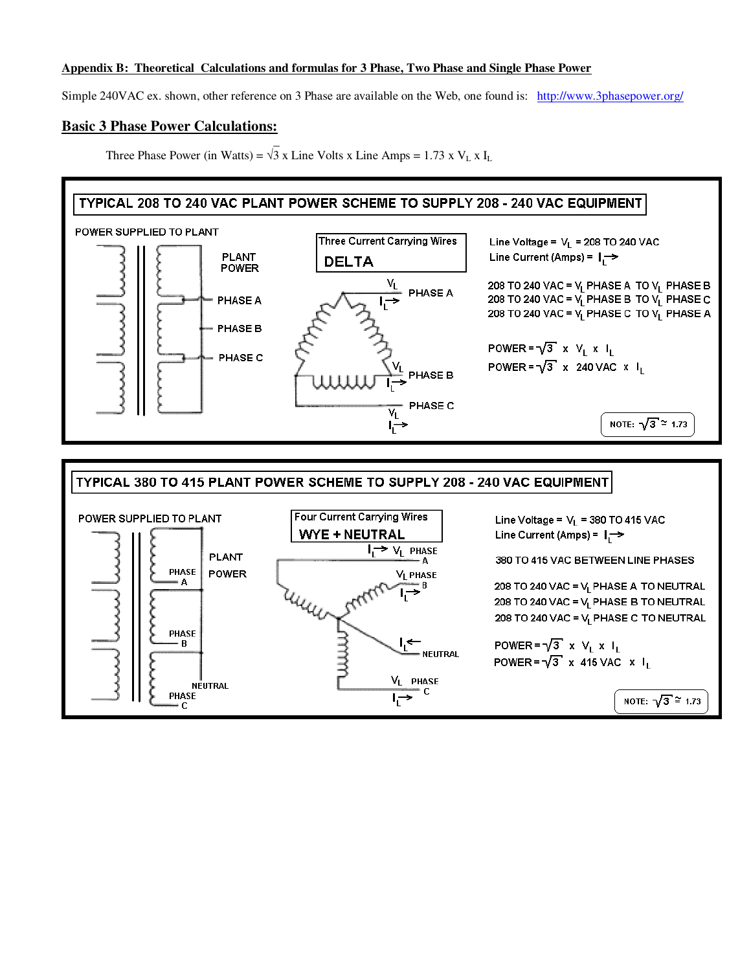### **Appendix B: Theoretical Calculations and formulas for 3 Phase, Two Phase and Single Phase Power**

Simple 240VAC ex. shown, other reference on 3 Phase are available on the Web, one found is: http://www.3phasepower.org/

## **Basic 3 Phase Power Calculations:**

 \_ Three Phase Power (in Watts) =  $\sqrt{3}$  x Line Volts x Line Amps = 1.73 x V<sub>L</sub> x I<sub>L</sub>